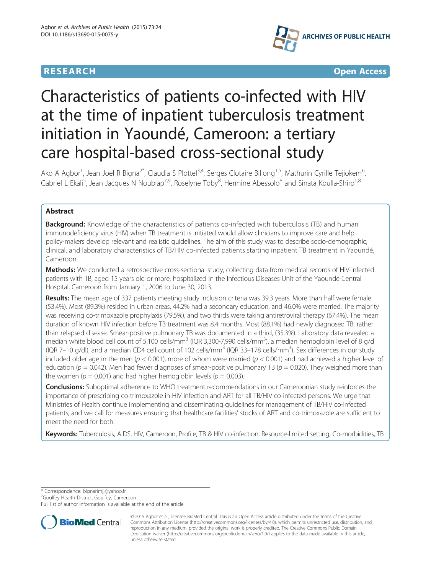## **RESEARCH CHINESE ARCH CHINESE ARCHITECT ARCHITECT ARCHITECT ARCHITECT ARCHITECT ARCHITECT ARCHITECT ARCHITECT ARCHITECT ARCHITECT ARCHITECT ARCHITECT ARCHITECT ARCHITECT ARCHITECT ARCHITECT ARCHITECT ARCHITECT ARCHITE**



# Characteristics of patients co-infected with HIV at the time of inpatient tuberculosis treatment initiation in Yaoundé, Cameroon: a tertiary care hospital-based cross-sectional study

Ako A Agbor<sup>1</sup>, Jean Joel R Bigna<sup>2\*</sup>, Claudia S Plottel<sup>3,4</sup>, Serges Clotaire Billong<sup>1,5</sup>, Mathurin Cyrille Tejiokem<sup>6</sup> , Gabriel L Ekali<sup>5</sup>, Jean Jacques N Noubiap<sup>7,9</sup>, Roselyne Toby<sup>8</sup>, Hermine Abessolo<sup>8</sup> and Sinata Koulla-Shiro<sup>1,8</sup>

## Abstract

Background: Knowledge of the characteristics of patients co-infected with tuberculosis (TB) and human immunodeficiency virus (HIV) when TB treatment is initiated would allow clinicians to improve care and help policy-makers develop relevant and realistic guidelines. The aim of this study was to describe socio-demographic, clinical, and laboratory characteristics of TB/HIV co-infected patients starting inpatient TB treatment in Yaoundé, Cameroon.

Methods: We conducted a retrospective cross-sectional study, collecting data from medical records of HIV-infected patients with TB, aged 15 years old or more, hospitalized in the Infectious Diseases Unit of the Yaoundé Central Hospital, Cameroon from January 1, 2006 to June 30, 2013.

Results: The mean age of 337 patients meeting study inclusion criteria was 39.3 years. More than half were female (53.4%). Most (89.3%) resided in urban areas, 44.2% had a secondary education, and 46.0% were married. The majority was receiving co-trimoxazole prophylaxis (79.5%), and two thirds were taking antiretroviral therapy (67.4%). The mean duration of known HIV infection before TB treatment was 8.4 months. Most (88.1%) had newly diagnosed TB, rather than relapsed disease. Smear-positive pulmonary TB was documented in a third, (35.3%). Laboratory data revealed a median white blood cell count of 5,100 cells/mm<sup>3</sup> (IQR 3,300-7,990 cells/mm<sup>3</sup>), a median hemoglobin level of 8 g/dl (IQR 7–10 g/dl), and a median CD4 cell count of 102 cells/mm<sup>3</sup> (IQR 33–178 cells/mm<sup>3</sup>). Sex differences in our study included older age in the men ( $p < 0.001$ ), more of whom were married ( $p < 0.001$ ) and had achieved a higher level of education ( $p = 0.042$ ). Men had fewer diagnoses of smear-positive pulmonary TB ( $p = 0.020$ ). They weighed more than the women ( $p = 0.001$ ) and had higher hemoglobin levels ( $p = 0.003$ ).

Conclusions: Suboptimal adherence to WHO treatment recommendations in our Cameroonian study reinforces the importance of prescribing co-trimoxazole in HIV infection and ART for all TB/HIV co-infected persons. We urge that Ministries of Health continue implementing and disseminating guidelines for management of TB/HIV co-infected patients, and we call for measures ensuring that healthcare facilities' stocks of ART and co-trimoxazole are sufficient to meet the need for both.

Keywords: Tuberculosis, AIDS, HIV, Cameroon, Profile, TB & HIV co-infection, Resource-limited setting, Co-morbidities, TB

\* Correspondence: [bignarimjj@yahoo.fr](mailto:bignarimjj@yahoo.fr) <sup>2</sup>

<sup>2</sup>Goulfey Health District, Goulfey, Cameroon

Full list of author information is available at the end of the article



<sup>© 2015</sup> Agbor et al.; licensee BioMed Central. This is an Open Access article distributed under the terms of the Creative Commons Attribution License [\(http://creativecommons.org/licenses/by/4.0\)](http://creativecommons.org/licenses/by/4.0), which permits unrestricted use, distribution, and reproduction in any medium, provided the original work is properly credited. The Creative Commons Public Domain Dedication waiver [\(http://creativecommons.org/publicdomain/zero/1.0/](http://creativecommons.org/publicdomain/zero/1.0/)) applies to the data made available in this article, unless otherwise stated.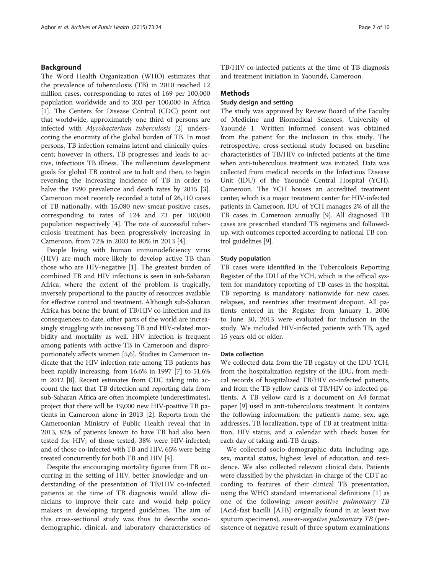## Background

The Word Health Organization (WHO) estimates that the prevalence of tuberculosis (TB) in 2010 reached 12 million cases, corresponding to rates of 169 per 100,000 population worldwide and to 303 per 100,000 in Africa [[1\]](#page-8-0). The Centers for Disease Control (CDC) point out that worldwide, approximately one third of persons are infected with Mycobacterium tuberculosis [[2\]](#page-8-0) underscoring the enormity of the global burden of TB. In most persons, TB infection remains latent and clinically quiescent; however in others, TB progresses and leads to active, infectious TB illness. The millennium development goals for global TB control are to halt and then, to begin reversing the increasing incidence of TB in order to halve the 1990 prevalence and death rates by 2015 [\[3](#page-8-0)]. Cameroon most recently recorded a total of 26,110 cases of TB nationally, with 15,080 new smear-positive cases, corresponding to rates of 124 and 73 per 100,000 population respectively [\[4](#page-8-0)]. The rate of successful tuberculosis treatment has been progressively increasing in Cameroon, from 72% in 2003 to 80% in 2013 [\[4\]](#page-8-0).

People living with human immunodeficiency virus (HIV) are much more likely to develop active TB than those who are HIV-negative [[1\]](#page-8-0). The greatest burden of combined TB and HIV infections is seen in sub-Saharan Africa, where the extent of the problem is tragically, inversely proportional to the paucity of resources available for effective control and treatment. Although sub-Saharan Africa has borne the brunt of TB/HIV co-infection and its consequences to date, other parts of the world are increasingly struggling with increasing TB and HIV-related morbidity and mortality as well. HIV infection is frequent among patients with active TB in Cameroon and disproportionately affects women [[5](#page-8-0),[6](#page-8-0)]. Studies in Cameroon indicate that the HIV infection rate among TB patients has been rapidly increasing, from 16.6% in 1997 [\[7\]](#page-8-0) to 51.6% in 2012 [\[8\]](#page-8-0). Recent estimates from CDC taking into account the fact that TB detection and reporting data from sub-Saharan Africa are often incomplete (underestimates), project that there will be 19,000 new HIV-positive TB patients in Cameroon alone in 2013 [\[2](#page-8-0)]. Reports from the Cameroonian Ministry of Public Health reveal that in 2013, 82% of patients known to have TB had also been tested for HIV; of those tested, 38% were HIV-infected; and of those co-infected with TB and HIV, 65% were being treated concurrently for both TB and HIV [\[4](#page-8-0)].

Despite the encouraging mortality figures from TB occurring in the setting of HIV, better knowledge and understanding of the presentation of TB/HIV co-infected patients at the time of TB diagnosis would allow clinicians to improve their care and would help policy makers in developing targeted guidelines. The aim of this cross-sectional study was thus to describe sociodemographic, clinical, and laboratory characteristics of TB/HIV co-infected patients at the time of TB diagnosis and treatment initiation in Yaoundé, Cameroon.

## **Methods**

## Study design and setting

The study was approved by Review Board of the Faculty of Medicine and Biomedical Sciences, University of Yaoundé 1. Written informed consent was obtained from the patient for the inclusion in this study. The retrospective, cross-sectional study focused on baseline characteristics of TB/HIV co-infected patients at the time when anti-tuberculous treatment was initiated. Data was collected from medical records in the Infectious Disease Unit (IDU) of the Yaoundé Central Hospital (YCH), Cameroon. The YCH houses an accredited treatment center, which is a major treatment center for HIV-infected patients in Cameroon. IDU of YCH manages 2% of all the TB cases in Cameroon annually [\[9](#page-8-0)]. All diagnosed TB cases are prescribed standard TB regimens and followedup, with outcomes reported according to national TB control guidelines [\[9](#page-8-0)].

## Study population

TB cases were identified in the Tuberculosis Reporting Register of the IDU of the YCH, which is the official system for mandatory reporting of TB cases in the hospital. TB reporting is mandatory nationwide for new cases, relapses, and reentries after treatment dropout. All patients entered in the Register from January 1, 2006 to June 30, 2013 were evaluated for inclusion in the study. We included HIV-infected patients with TB, aged 15 years old or older.

## Data collection

We collected data from the TB registry of the IDU-YCH, from the hospitalization registry of the IDU, from medical records of hospitalized TB/HIV co-infected patients, and from the TB yellow cards of TB/HIV co-infected patients. A TB yellow card is a document on A4 format paper [[9\]](#page-8-0) used in anti-tuberculosis treatment. It contains the following information: the patient's name, sex, age, addresses, TB localization, type of TB at treatment initiation, HIV status, and a calendar with check boxes for each day of taking anti-TB drugs.

We collected socio-demographic data including: age, sex, marital status, highest level of education, and residence. We also collected relevant clinical data. Patients were classified by the physician-in-charge of the CDT according to features of their clinical TB presentation, using the WHO standard international definitions [[1\]](#page-8-0) as one of the following: smear-positive pulmonary TB (Acid-fast bacilli [AFB] originally found in at least two sputum specimens), smear-negative pulmonary TB (persistence of negative result of three sputum examinations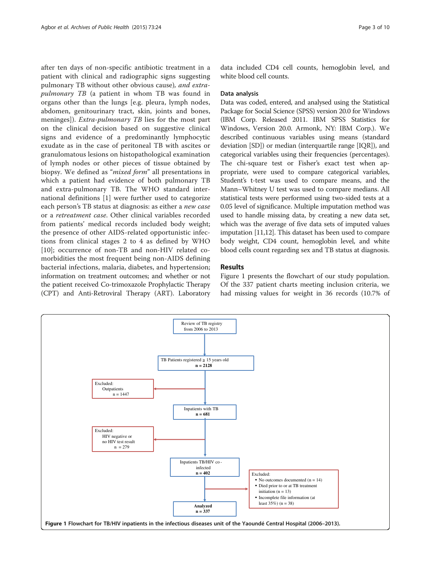after ten days of non-specific antibiotic treatment in a patient with clinical and radiographic signs suggesting pulmonary TB without other obvious cause), and extrapulmonary TB (a patient in whom TB was found in organs other than the lungs [e.g. pleura, lymph nodes, abdomen, genitourinary tract, skin, joints and bones, meninges]). *Extra-pulmonary TB* lies for the most part on the clinical decision based on suggestive clinical signs and evidence of a predominantly lymphocytic exudate as in the case of peritoneal TB with ascites or granulomatous lesions on histopathological examination of lymph nodes or other pieces of tissue obtained by biopsy. We defined as "mixed form" all presentations in which a patient had evidence of both pulmonary TB and extra-pulmonary TB. The WHO standard international definitions [\[1](#page-8-0)] were further used to categorize each person's TB status at diagnosis: as either a new case or a retreatment case. Other clinical variables recorded from patients' medical records included body weight; the presence of other AIDS-related opportunistic infections from clinical stages 2 to 4 as defined by WHO [[10\]](#page-8-0); occurrence of non-TB and non-HIV related comorbidities the most frequent being non-AIDS defining bacterial infections, malaria, diabetes, and hypertension; information on treatment outcomes; and whether or not the patient received Co-trimoxazole Prophylactic Therapy (CPT) and Anti-Retroviral Therapy (ART). Laboratory

data included CD4 cell counts, hemoglobin level, and white blood cell counts.

## Data analysis

Data was coded, entered, and analysed using the Statistical Package for Social Science (SPSS) version 20.0 for Windows (IBM Corp. Released 2011. IBM SPSS Statistics for Windows, Version 20.0. Armonk, NY: IBM Corp.). We described continuous variables using means (standard deviation [SD]) or median (interquartile range [IQR]), and categorical variables using their frequencies (percentages). The chi-square test or Fisher's exact test when appropriate, were used to compare categorical variables, Student's t-test was used to compare means, and the Mann–Whitney U test was used to compare medians. All statistical tests were performed using two-sided tests at a 0.05 level of significance. Multiple imputation method was used to handle missing data, by creating a new data set, which was the average of five data sets of imputed values imputation [[11,12\]](#page-8-0). This dataset has been used to compare body weight, CD4 count, hemoglobin level, and white blood cells count regarding sex and TB status at diagnosis.

## Results

Figure 1 presents the flowchart of our study population. Of the 337 patient charts meeting inclusion criteria, we had missing values for weight in 36 records (10.7% of

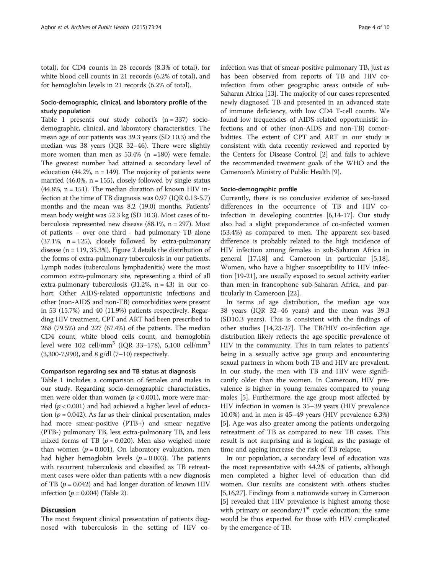total), for CD4 counts in 28 records (8.3% of total), for white blood cell counts in 21 records (6.2% of total), and for hemoglobin levels in 21 records (6.2% of total).

## Socio-demographic, clinical, and laboratory profile of the study population

Table [1](#page-4-0) presents our study cohort's  $(n = 337)$  sociodemographic, clinical, and laboratory characteristics. The mean age of our patients was 39.3 years (SD 10.3) and the median was 38 years (IQR 32–46). There were slightly more women than men as 53.4% (n =180) were female. The greatest number had attained a secondary level of education (44.2%,  $n = 149$ ). The majority of patients were married  $(46.0\% , n = 155)$ , closely followed by single status  $(44.8\%, n = 151)$ . The median duration of known HIV infection at the time of TB diagnosis was 0.97 (IQR 0.13-5.7) months and the mean was 8.2 (19.0) months. Patients' mean body weight was 52.3 kg (SD 10.3). Most cases of tuberculosis represented new disease (88.1%, n = 297). Most of patients – over one third - had pulmonary TB alone  $(37.1\% \text{ n} = 125)$ , closely followed by extra-pulmonary disease (n = 119, 35.3%). Figure [2](#page-5-0) details the distribution of the forms of extra-pulmonary tuberculosis in our patients. Lymph nodes (tuberculous lymphadenitis) were the most common extra-pulmonary site, representing a third of all extra-pulmonary tuberculosis  $(31.2\% , n = 43)$  in our cohort. Other AIDS-related opportunistic infections and other (non-AIDS and non-TB) comorbidities were present in 53 (15.7%) and 40 (11.9%) patients respectively. Regarding HIV treatment, CPT and ART had been prescribed to 268 (79.5%) and 227 (67.4%) of the patients. The median CD4 count, white blood cells count, and hemoglobin level were  $102$  cell/mm<sup>3</sup> (IQR 33-178), 5,100 cell/mm<sup>3</sup> (3,300-7,990), and 8 g/dl (7–10) respectively.

## Comparison regarding sex and TB status at diagnosis

Table [1](#page-4-0) includes a comparison of females and males in our study. Regarding socio-demographic characteristics, men were older than women ( $p < 0.001$ ), more were married ( $p < 0.001$ ) and had achieved a higher level of education ( $p = 0.042$ ). As far as their clinical presentation, males had more smear-positive (PTB+) and smear negative (PTB-) pulmonary TB, less extra-pulmonary TB, and less mixed forms of TB ( $p = 0.020$ ). Men also weighed more than women ( $p = 0.001$ ). On laboratory evaluation, men had higher hemoglobin levels ( $p = 0.003$ ). The patients with recurrent tuberculosis and classified as TB retreatment cases were older than patients with a new diagnosis of TB ( $p = 0.042$ ) and had longer duration of known HIV infection  $(p = 0.004)$  (Table [2](#page-6-0)).

## **Discussion**

The most frequent clinical presentation of patients diagnosed with tuberculosis in the setting of HIV coinfection was that of smear-positive pulmonary TB, just as has been observed from reports of TB and HIV coinfection from other geographic areas outside of sub-Saharan Africa [[13](#page-8-0)]. The majority of our cases represented newly diagnosed TB and presented in an advanced state of immune deficiency, with low CD4 T-cell counts. We found low frequencies of AIDS-related opportunistic infections and of other (non-AIDS and non-TB) comorbidities. The extent of CPT and ART in our study is consistent with data recently reviewed and reported by the Centers for Disease Control [\[2](#page-8-0)] and fails to achieve the recommended treatment goals of the WHO and the Cameroon's Ministry of Public Health [[9\]](#page-8-0).

## Socio-demographic profile

Currently, there is no conclusive evidence of sex-based differences in the occurrence of TB and HIV coinfection in developing countries [\[6,14](#page-8-0)-[17](#page-8-0)]. Our study also had a slight preponderance of co-infected women (53.4%) as compared to men. The apparent sex-based difference is probably related to the high incidence of HIV infection among females in sub-Saharan Africa in general [\[17,18\]](#page-8-0) and Cameroon in particular [\[5,18](#page-8-0)]. Women, who have a higher susceptibility to HIV infection [\[19-21](#page-8-0)], are usually exposed to sexual activity earlier than men in francophone sub-Saharan Africa, and particularly in Cameroon [[22\]](#page-8-0).

In terms of age distribution, the median age was 38 years (IQR 32–46 years) and the mean was 39.3 (SD10.3 years). This is consistent with the findings of other studies [[14](#page-8-0),[23](#page-9-0)-[27\]](#page-9-0). The TB/HIV co-infection age distribution likely reflects the age-specific prevalence of HIV in the community. This in turn relates to patients' being in a sexually active age group and encountering sexual partners in whom both TB and HIV are prevalent. In our study, the men with TB and HIV were significantly older than the women. In Cameroon, HIV prevalence is higher in young females compared to young males [\[5\]](#page-8-0). Furthermore, the age group most affected by HIV infection in women is 35–39 years (HIV prevalence 10.0%) and in men is 45–49 years (HIV prevalence 6.3%) [[5\]](#page-8-0). Age was also greater among the patients undergoing retreatment of TB as compared to new TB cases. This result is not surprising and is logical, as the passage of time and ageing increase the risk of TB relapse.

In our population, a secondary level of education was the most representative with 44.2% of patients, although men completed a higher level of education than did women. Our results are consistent with others studies [[5,16](#page-8-0)[,27](#page-9-0)]. Findings from a nationwide survey in Cameroon [[5\]](#page-8-0) revealed that HIV prevalence is highest among those with primary or secondary/ $1<sup>st</sup>$  cycle education; the same would be thus expected for those with HIV complicated by the emergence of TB.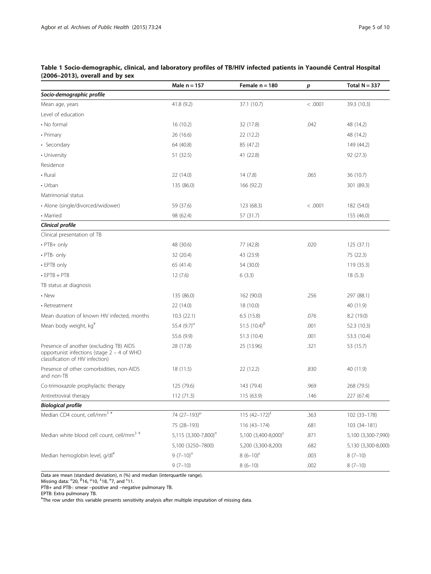|                                                                                                                             | Male $n = 157$                                  | Female $n = 180$                            | р       | Total $N = 337$     |
|-----------------------------------------------------------------------------------------------------------------------------|-------------------------------------------------|---------------------------------------------|---------|---------------------|
| Socio-demographic profile                                                                                                   |                                                 |                                             |         |                     |
| Mean age, years                                                                                                             | 41.8 (9.2)                                      | 37.1 (10.7)                                 | < .0001 | 39.3 (10.3)         |
| Level of education                                                                                                          |                                                 |                                             |         |                     |
| • No formal                                                                                                                 | 16(10.2)                                        | 32 (17.8)                                   | .042    | 48 (14.2)           |
| • Primary                                                                                                                   | 26 (16.6)                                       | 22 (12.2)                                   |         | 48 (14.2)           |
| • Secondary                                                                                                                 | 64 (40.8)                                       | 85 (47.2)                                   |         | 149 (44.2)          |
| • University                                                                                                                | 51 (32.5)                                       | 41 (22.8)                                   |         | 92 (27.3)           |
| Residence                                                                                                                   |                                                 |                                             |         |                     |
| • Rural                                                                                                                     | 22 (14.0)                                       | 14(7.8)                                     | .065    | 36 (10.7)           |
| • Urban                                                                                                                     | 135 (86.0)                                      | 166 (92.2)                                  |         | 301 (89.3)          |
| Matrimonial status                                                                                                          |                                                 |                                             |         |                     |
| · Alone (single/divorced/widower)                                                                                           | 59 (37.6)                                       | 123 (68.3)                                  | < .0001 | 182 (54.0)          |
| • Married                                                                                                                   | 98 (62.4)                                       | 57 (31.7)                                   |         | 155 (46.0)          |
| <b>Clinical profile</b>                                                                                                     |                                                 |                                             |         |                     |
| Clinical presentation of TB                                                                                                 |                                                 |                                             |         |                     |
| $\cdot$ PTB+ only                                                                                                           | 48 (30.6)                                       | 77 (42.8)                                   | .020    | 125 (37.1)          |
| • PTB- only                                                                                                                 | 32 (20.4)                                       | 43 (23.9)                                   |         | 75 (22.3)           |
| • EPTB only                                                                                                                 | 65 (41.4)                                       | 54 (30.0)                                   |         | 119 (35.3)          |
| $\cdot$ EPTB + PTB                                                                                                          | 12(7.6)                                         | 6(3.3)                                      |         | 18(5.3)             |
| TB status at diagnosis                                                                                                      |                                                 |                                             |         |                     |
| • New                                                                                                                       | 135 (86.0)                                      | 162 (90.0)                                  | .256    | 297 (88.1)          |
| • Retreatment                                                                                                               | 22 (14.0)                                       | 18 (10.0)                                   |         | 40 (11.9)           |
| Mean duration of known HIV infected, months                                                                                 | 10.3(22.1)                                      | 6.5(15.8)                                   | .076    | 8.2 (19.0)          |
| Mean body weight, kg <sup>*</sup>                                                                                           | 55.4 $(9.7)^{\alpha}$                           | 51.5 $(10.4)$ <sup><math>\beta</math></sup> | .001    | 52.3 (10.3)         |
|                                                                                                                             | 55.6 (9.9)                                      | 51.3 (10.4)                                 | .001    | 53.3 (10.4)         |
| Presence of another (excluding TB) AIDS<br>opportunist infections (stage $2 - 4$ of WHO<br>classification of HIV infection) | 28 (17.8)                                       | 25 (13.96)                                  | .321    | 53 (15.7)           |
| Presence of other comorbidities, non-AIDS<br>and non-TB                                                                     | 18 (11.5)                                       | 22 (12.2)                                   | .830    | 40 (11.9)           |
| Co-trimoxazole prophylactic therapy                                                                                         | 125 (79.6)                                      | 143 (79.4)                                  | .969    | 268 (79.5)          |
| Antiretroviral therapy                                                                                                      | 112(71.3)                                       | 115 (63.9)                                  | .146    | 227 (67.4)          |
| <b>Biological profile</b>                                                                                                   |                                                 |                                             |         |                     |
| Median CD4 count, cell/mm <sup>3 ¥</sup>                                                                                    | 74 $(27-193)^{\mu}$                             | 115 $(42 - 172)^{E}$                        | .363    | 102 (33-178)        |
|                                                                                                                             | 75 (28-193)                                     | 116 (43-174)                                | .681    | 103 (34-181)        |
| Median white blood cell count, cell/mm <sup>3 ¥</sup>                                                                       | 5,115 (3,300-7,800) <sup><math>\pi</math></sup> | 5,100 (3,400-8,000) <sup>8</sup>            | .871    | 5,100 (3,300-7,990) |
|                                                                                                                             | 5,100 (3250-7800)                               | 5,200 (3,300-8,200)                         | .682    | 5,130 (3,300-8,000) |
| Median hemoglobin level, g/dl¥                                                                                              | $9(7-10)^{n}$                                   | $8(6-10)^{8}$                               | .003    | $8(7-10)$           |
|                                                                                                                             | $9(7-10)$                                       | $8(6-10)$                                   | .002    | $8(7-10)$           |

## <span id="page-4-0"></span>Table 1 Socio-demographic, clinical, and laboratory profiles of TB/HIV infected patients in Yaoundé Central Hospital (2006–2013), overall and by sex

Data are mean (standard deviation), n (%) and median (interquartile range).<br>Missing data: <sup>α</sup>20, <sup>β</sup>16, <sup>μ</sup>10, <sup>£</sup>18, <sup>π</sup>7, and <sup>ε</sup>11.

PTB+ and PTB-: smear –positive and –negative pulmonary TB.

EPTB: Extra pulmonary TB.

¥ The row under this variable presents sensitivity analysis after multiple imputation of missing data.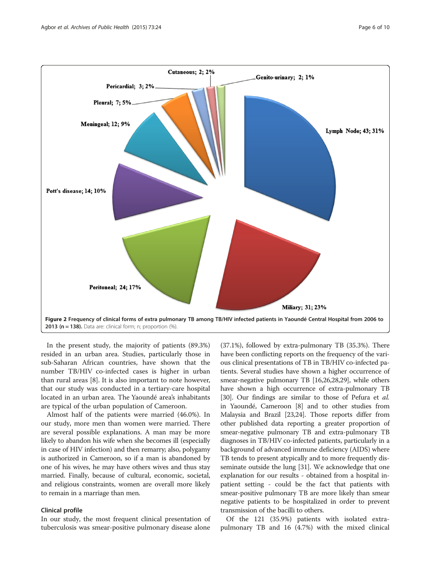<span id="page-5-0"></span>

In the present study, the majority of patients (89.3%) resided in an urban area. Studies, particularly those in sub-Saharan African countries, have shown that the number TB/HIV co-infected cases is higher in urban than rural areas [[8](#page-8-0)]. It is also important to note however, that our study was conducted in a tertiary-care hospital located in an urban area. The Yaoundé area's inhabitants are typical of the urban population of Cameroon.

Almost half of the patients were married (46.0%). In our study, more men than women were married. There are several possible explanations. A man may be more likely to abandon his wife when she becomes ill (especially in case of HIV infection) and then remarry; also, polygamy is authorized in Cameroon, so if a man is abandoned by one of his wives, he may have others wives and thus stay married. Finally, because of cultural, economic, societal, and religious constraints, women are overall more likely to remain in a marriage than men.

## Clinical profile

In our study, the most frequent clinical presentation of tuberculosis was smear-positive pulmonary disease alone

(37.1%), followed by extra-pulmonary TB (35.3%). There have been conflicting reports on the frequency of the various clinical presentations of TB in TB/HIV co-infected patients. Several studies have shown a higher occurrence of smear-negative pulmonary TB [[16,](#page-8-0)[26,28,29\]](#page-9-0), while others have shown a high occurrence of extra-pulmonary TB [[30](#page-9-0)]. Our findings are similar to those of Pefura et al. in Yaoundé, Cameroon [\[8](#page-8-0)] and to other studies from Malaysia and Brazil [[23,24\]](#page-9-0). Those reports differ from other published data reporting a greater proportion of smear-negative pulmonary TB and extra-pulmonary TB diagnoses in TB/HIV co-infected patients, particularly in a background of advanced immune deficiency (AIDS) where TB tends to present atypically and to more frequently disseminate outside the lung [\[31\]](#page-9-0). We acknowledge that one explanation for our results - obtained from a hospital inpatient setting - could be the fact that patients with smear-positive pulmonary TB are more likely than smear negative patients to be hospitalized in order to prevent transmission of the bacilli to others.

Of the 121 (35.9%) patients with isolated extrapulmonary TB and 16 (4.7%) with the mixed clinical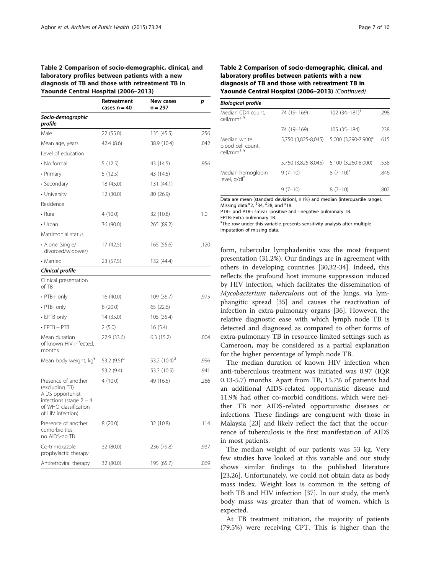## <span id="page-6-0"></span>Table 2 Comparison of socio-demographic, clinical, and laboratory profiles between patients with a new diagnosis of TB and those with retreatment TB in Yaoundé Central Hospital (2006–2013)

|                                                                                                                                      | Retreatment<br>cases $n = 40$ | New cases<br>$n = 297$ | p    |
|--------------------------------------------------------------------------------------------------------------------------------------|-------------------------------|------------------------|------|
| Socio-demographic<br>profile                                                                                                         |                               |                        |      |
| Male                                                                                                                                 | 22 (55.0)                     | 135 (45.5)             | .256 |
| Mean age, years                                                                                                                      | 42.4 (8.6)                    | 38.9 (10.4)            | .042 |
| Level of education                                                                                                                   |                               |                        |      |
| $\cdot$ No formal                                                                                                                    | 5(12.5)                       | 43 (14.5)              | .956 |
| • Primary                                                                                                                            | 5(12.5)                       | 43 (14.5)              |      |
| • Secondary                                                                                                                          | 18 (45.0)                     | 131 (44.1)             |      |
| • University                                                                                                                         | 12 (30.0)                     | 80 (26.9)              |      |
| Residence                                                                                                                            |                               |                        |      |
| • Rural                                                                                                                              | 4(10.0)                       | 32 (10.8)              | 1.0  |
| • Urban                                                                                                                              | 36 (90.0)                     | 265 (89.2)             |      |
| Matrimonial status                                                                                                                   |                               |                        |      |
| • Alone (single/<br>divorced/widower)                                                                                                | 17 (42.5)                     | 165 (55.6)             | .120 |
| • Married                                                                                                                            | 23 (57.5)                     | 132 (44.4)             |      |
| <b>Clinical profile</b>                                                                                                              |                               |                        |      |
| Clinical presentation<br>of TB                                                                                                       |                               |                        |      |
| $\cdot$ PTB+ only                                                                                                                    | 16(40.0)                      | 109 (36.7)             | .975 |
| • PTB- only                                                                                                                          | 8(20.0)                       | 65 (22.6)              |      |
| • EPTB only                                                                                                                          | 14 (35.0)                     | 105 (35.4)             |      |
| $\cdot$ EPTB + PTB                                                                                                                   | 2(5.0)                        | 16(5.4)                |      |
| Mean duration<br>of known HIV infected,<br>months                                                                                    | 22.9 (33.6)                   | 6.3(15.2)              | .004 |
| Mean body weight, kg <sup>*</sup>                                                                                                    | 53.2 $(9.5)^{\alpha}$         | 53.2 $(10.4)^{\beta}$  | .996 |
|                                                                                                                                      | 53.2 (9.4)                    | 53.3 (10.5)            | .941 |
| Presence of another<br>(excluding TB)<br>AIDS opportunist<br>infections (stage $2 - 4$<br>of WHO classification<br>of HIV infection) | 4(10.0)                       | 49 (16.5)              | .286 |
| Presence of another<br>comorbidities,<br>no AIDS-no TB                                                                               | 8(20.0)                       | 32 (10.8)              | .114 |
| Co-trimoxazole<br>prophylactic therapy                                                                                               | 32 (80.0)                     | 236 (79.8)             | .937 |
| Antiretroviral therapy                                                                                                               | 32 (80.0)                     | 195 (65.7)             | .069 |

## Table 2 Comparison of socio-demographic, clinical, and laboratory profiles between patients with a new diagnosis of TB and those with retreatment TB in Yaoundé Central Hospital (2006–2013) (Continued)

| <b>Biological profile</b>                                   |                     |                                  |      |
|-------------------------------------------------------------|---------------------|----------------------------------|------|
| Median CD4 count,<br>cell/ $mm^3$ <sup><math>*</math></sup> | 74 (19-169)         | 102 $(34-181)^{t}$               | .298 |
|                                                             | 74 (19-169)         | 105 (35-184)                     | .238 |
| Median white<br>blood cell count,<br>$cell/mm^3$ $*$        | 5,750 (3,825-8,045) | 5,000 (3,290-7,900) <sup>8</sup> | .615 |
|                                                             | 5,750 (3,825-8,045) | 5,100 (3,260-8,000)              | .538 |
| Median hemoglobin<br>level, g/dl <sup>¥</sup>               | $9(7-10)$           | 8 $(7-10)^{5}$                   | .846 |
|                                                             | $9(7-10)$           | $8(7-10)$                        | .802 |

Data are mean (standard deviation), n (%) and median (interquartile range). Missing data:  $a_2$ ,  $a_3$ ,  $a_4$ ,  $a_5$ , and  $a_6$ ,  $a_7$ 

PTB+ and PTB-: smear -positive and –negative pulmonary TB.

EPTB: Extra pulmonary TB.

¥ The row under this variable presents sensitivity analysis after multiple imputation of missing data.

form, tubercular lymphadenitis was the most frequent presentation (31.2%). Our findings are in agreement with others in developing countries [\[30,32-34](#page-9-0)]. Indeed, this reflects the profound host immune suppression induced by HIV infection, which facilitates the dissemination of Mycobacterium tuberculosis out of the lungs, via lymphangitic spread [[35\]](#page-9-0) and causes the reactivation of infection in extra-pulmonary organs [\[36\]](#page-9-0). However, the relative diagnostic ease with which lymph node TB is detected and diagnosed as compared to other forms of extra-pulmonary TB in resource-limited settings such as Cameroon, may be considered as a partial explanation for the higher percentage of lymph node TB.

The median duration of known HIV infection when anti-tuberculous treatment was initiated was 0.97 (IQR 0.13-5.7) months. Apart from TB, 15.7% of patients had an additional AIDS-related opportunistic disease and 11.9% had other co-morbid conditions, which were neither TB nor AIDS-related opportunistic diseases or infections. These findings are congruent with those in Malaysia [[23](#page-9-0)] and likely reflect the fact that the occurrence of tuberculosis is the first manifestation of AIDS in most patients.

The median weight of our patients was 53 kg. Very few studies have looked at this variable and our study shows similar findings to the published literature [[23,26\]](#page-9-0). Unfortunately, we could not obtain data as body mass index. Weight loss is common in the setting of both TB and HIV infection [[37\]](#page-9-0). In our study, the men's body mass was greater than that of women, which is expected.

At TB treatment initiation, the majority of patients (79.5%) were receiving CPT. This is higher than the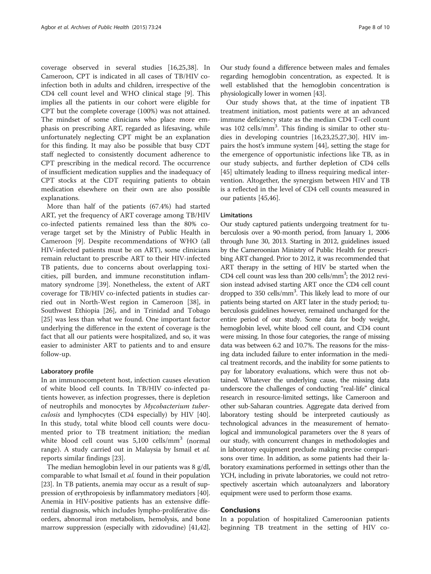coverage observed in several studies [\[16,](#page-8-0)[25,38\]](#page-9-0). In Cameroon, CPT is indicated in all cases of TB/HIV coinfection both in adults and children, irrespective of the CD4 cell count level and WHO clinical stage [[9\]](#page-8-0). This implies all the patients in our cohort were eligible for CPT but the complete coverage (100%) was not attained. The mindset of some clinicians who place more emphasis on prescribing ART, regarded as lifesaving, while unfortunately neglecting CPT might be an explanation for this finding. It may also be possible that busy CDT staff neglected to consistently document adherence to CPT prescribing in the medical record. The occurrence of insufficient medication supplies and the inadequacy of CPT stocks at the CDT requiring patients to obtain medication elsewhere on their own are also possible explanations.

More than half of the patients (67.4%) had started ART, yet the frequency of ART coverage among TB/HIV co-infected patients remained less than the 80% coverage target set by the Ministry of Public Health in Cameroon [\[9](#page-8-0)]. Despite recommendations of WHO (all HIV-infected patients must be on ART), some clinicians remain reluctant to prescribe ART to their HIV-infected TB patients, due to concerns about overlapping toxicities, pill burden, and immune reconstitution inflammatory syndrome [\[39\]](#page-9-0). Nonetheless, the extent of ART coverage for TB/HIV co-infected patients in studies carried out in North-West region in Cameroon [[38\]](#page-9-0), in Southwest Ethiopia [[26\]](#page-9-0), and in Trinidad and Tobago [[25\]](#page-9-0) was less than what we found. One important factor underlying the difference in the extent of coverage is the fact that all our patients were hospitalized, and so, it was easier to administer ART to patients and to and ensure follow-up.

## Laboratory profile

In an immunocompetent host, infection causes elevation of white blood cell counts. In TB/HIV co-infected patients however, as infection progresses, there is depletion of neutrophils and monocytes by Mycobacterium tuberculosis and lymphocytes (CD4 especially) by HIV [\[40](#page-9-0)]. In this study, total white blood cell counts were documented prior to TB treatment initiation; the median white blood cell count was  $5,100$  cells/mm<sup>3</sup> (normal range). A study carried out in Malaysia by Ismail et al. reports similar findings [\[23\]](#page-9-0).

The median hemoglobin level in our patients was 8 g/dl, comparable to what Ismail et *al.* found in their population [[23](#page-9-0)]. In TB patients, anemia may occur as a result of suppression of erythropoiesis by inflammatory mediators [[40](#page-9-0)]. Anemia in HIV-positive patients has an extensive differential diagnosis, which includes lympho-proliferative disorders, abnormal iron metabolism, hemolysis, and bone marrow suppression (especially with zidovudine) [\[41,42](#page-9-0)]. Our study found a difference between males and females regarding hemoglobin concentration, as expected. It is well established that the hemoglobin concentration is physiologically lower in women [\[43\]](#page-9-0).

Our study shows that, at the time of inpatient TB treatment initiation, most patients were at an advanced immune deficiency state as the median CD4 T-cell count was 102 cells/mm<sup>3</sup>. This finding is similar to other studies in developing countries [[16,](#page-8-0)[23,25](#page-9-0),[27](#page-9-0),[30](#page-9-0)]. HIV impairs the host's immune system [\[44](#page-9-0)], setting the stage for the emergence of opportunistic infections like TB, as in our study subjects, and further depletion of CD4 cells [[45\]](#page-9-0) ultimately leading to illness requiring medical intervention. Altogether, the synergism between HIV and TB is a reflected in the level of CD4 cell counts measured in our patients [\[45,46\]](#page-9-0).

## **Limitations**

Our study captured patients undergoing treatment for tuberculosis over a 90-month period, from January 1, 2006 through June 30, 2013. Starting in 2012, guidelines issued by the Cameroonian Ministry of Public Health for prescribing ART changed. Prior to 2012, it was recommended that ART therapy in the setting of HIV be started when the CD4 cell count was less than 200 cells/mm<sup>3</sup>; the 2012 revision instead advised starting ART once the CD4 cell count dropped to 350 cells/mm3 . This likely lead to more of our patients being started on ART later in the study period; tuberculosis guidelines however, remained unchanged for the entire period of our study. Some data for body weight, hemoglobin level, white blood cell count, and CD4 count were missing. In those four categories, the range of missing data was between 6.2 and 10.7%. The reasons for the missing data included failure to enter information in the medical treatment records, and the inability for some patients to pay for laboratory evaluations, which were thus not obtained. Whatever the underlying cause, the missing data underscore the challenges of conducting "real-life" clinical research in resource-limited settings, like Cameroon and other sub-Saharan countries. Aggregate data derived from laboratory testing should be interpreted cautiously as technological advances in the measurement of hematological and immunological parameters over the 8 years of our study, with concurrent changes in methodologies and in laboratory equipment preclude making precise comparisons over time. In addition, as some patients had their laboratory examinations performed in settings other than the YCH, including in private laboratories, we could not retrospectively ascertain which autoanalyzers and laboratory equipment were used to perform those exams.

## Conclusions

In a population of hospitalized Cameroonian patients beginning TB treatment in the setting of HIV co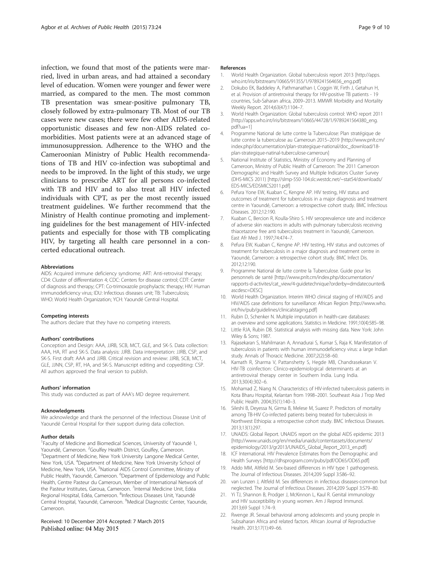<span id="page-8-0"></span>infection, we found that most of the patients were married, lived in urban areas, and had attained a secondary level of education. Women were younger and fewer were married, as compared to the men. The most common TB presentation was smear-positive pulmonary TB, closely followed by extra-pulmonary TB. Most of our TB cases were new cases; there were few other AIDS-related opportunistic diseases and few non-AIDS related comorbidities. Most patients were at an advanced stage of immunosuppression. Adherence to the WHO and the Cameroonian Ministry of Public Health recommendations of TB and HIV co-infection was suboptimal and needs to be improved. In the light of this study, we urge clinicians to prescribe ART for all persons co-infected with TB and HIV and to also treat all HIV infected individuals with CPT, as per the most recently issued treatment guidelines. We further recommend that the Ministry of Health continue promoting and implementing guidelines for the best management of HIV-infected patients and especially for those with TB complicating HIV, by targeting all health care personnel in a concerted educational outreach.

#### Abbreviations

AIDS: Acquired immune deficiency syndrome; ART: Anti-retroviral therapy; CD4: Cluster of differentiation 4; CDC: Centers for disease control; CDT: Center of diagnosis and therapy; CPT: Co-trimoxazole prophylactic therapy; HIV: Human immunodeficiency virus; IDU: Infectious diseases unit; TB: Tuberculosis; WHO: World Health Organization; YCH: Yaoundé Central Hospital.

#### Competing interests

The authors declare that they have no competing interests.

#### Authors' contributions

Conception and Design: AAA, JJRB, SCB, MCT, GLE, and SK-S. Data collection: AAA, HA, RT and SK-S. Data analysis: JJRB. Data interpretation: JJRB, CSP, and SK-S. First draft: AAA and JJRB. Critical revision and review: JJRB, SCB, MCT, GLE, JJNN, CSP, RT, HA, and SK-S. Manuscript editing and copyediting: CSP. All authors approved the final version to publish.

#### Authors' information

This study was conducted as part of AAA's MD degree requirement.

#### Acknowledgments

We acknowledge and thank the personnel of the Infectious Disease Unit of Yaoundé Central Hospital for their support during data collection.

#### Author details

<sup>1</sup> Faculty of Medicine and Biomedical Sciences, University of Yaoundé 1, Yaoundé, Cameroon. <sup>2</sup>Goulfey Health District, Goulfey, Cameroon.<br><sup>3</sup>Department of Medicine, New York University Langone Medical. <sup>3</sup>Department of Medicine, New York University Langone Medical Center, New York, USA. <sup>4</sup>Department of Medicine, New York University School of Medicine, New York, USA. <sup>5</sup>National AIDS Control Committee, Ministry of Public Health, Yaoundé, Cameroon. <sup>6</sup>Department of Epidemiology and Public Health, Centre Pasteur du Cameroun, Member of International Network of the Pasteur Institutes, Garoua, Cameroon. <sup>7</sup>Internal Medicine Unit, Edéa Regional Hospital, Edéa, Cameroon. <sup>8</sup>Infectious Diseases Unit, Yaoundé Central Hospital, Yaoundé, Cameroon. <sup>9</sup>Medical Diagnostic Center, Yaounde, Cameroon.

#### Received: 10 December 2014 Accepted: 7 March 2015 Published online: 04 May 2015

#### References

- 1. World Health Organization. Global tuberculosis report 2013 [[http://apps.](http://apps.who.int/iris/bitstream/10665/91355/1/9789241564656_eng.pdf) [who.int/iris/bitstream/10665/91355/1/9789241564656\\_eng.pdf](http://apps.who.int/iris/bitstream/10665/91355/1/9789241564656_eng.pdf)]
- 2. Dokubo EK, Baddeley A, Pathmanathan I, Coggin W, Firth J, Getahun H, et al. Provision of antiretroviral therapy for HIV-positive TB patients - 19 countries, Sub-Saharan africa, 2009–2013. MMWR Morbidity and Mortality Weekly Report. 2014;63(47):1104–7.
- 3. World Health Organization: Global tuberculosis control: WHO report 2011 [[http://apps.who.int/iris/bitstream/10665/44728/1/9789241564380\\_eng.](http://apps.who.int/iris/bitstream/10665/44728/1/9789241564380_eng.pdf?ua=1) [pdf?ua=1\]](http://apps.who.int/iris/bitstream/10665/44728/1/9789241564380_eng.pdf?ua=1)
- 4. Programme National de lutte contre la Tuberculose: Plan stratégique de lutte contre la tuberculose au Cameroun 2015–2019 [\[http://www.pnlt.cm/](http://www.pnlt.cm/index.php/documentation/plan-strategique-national/doc_download/18-plan-strategique-natinal-tuberculose-cameroun) [index.php/documentation/plan-strategique-national/doc\\_download/18](http://www.pnlt.cm/index.php/documentation/plan-strategique-national/doc_download/18-plan-strategique-natinal-tuberculose-cameroun) [plan-strategique-natinal-tuberculose-cameroun](http://www.pnlt.cm/index.php/documentation/plan-strategique-national/doc_download/18-plan-strategique-natinal-tuberculose-cameroun)]
- 5. National Institute of Statistics, Ministry of Economy and Planning of Cameroon, Ministry of Public Health of Cameroon: The 2011 Cameroon Demographic and Health Survey and Multiple Indicators Cluster Survey (DHS-MICS 2011) [[http://slmp-550-104.slc.westdc.net/~stat54/downloads/](http://slmp-550-104.slc.westdc.net/~stat54/downloads/EDS-MICS/EDSMICS2011.pdf) [EDS-MICS/EDSMICS2011.pdf](http://slmp-550-104.slc.westdc.net/~stat54/downloads/EDS-MICS/EDSMICS2011.pdf)]
- 6. Pefura Yone EW, Kuaban C, Kengne AP. HIV testing, HIV status and outcomes of treatment for tuberculosis in a major diagnosis and treatment centre in Yaoundé, Cameroon: a retrospective cohort study. BMC Infectious Diseases. 2012;12:190.
- 7. Kuaban C, Bercion R, Koulla-Shiro S. HIV seroprevalence rate and incidence of adverse skin reactions in adults with pulmonary tuberculosis receiving thiacetazone free anti tuberculosis treatment in Yaoundé, Cameroon. East Afr Med J. 1997;74:474–7.
- 8. Pefura EW, Kuaban C, Kengne AP. HIV testing, HIV status and outcomes of treatment for tuberculosis in a major diagnosis and treatment centre in Yaoundé, Cameroon: a retrospective cohort study. BMC Infect Dis. 2012;12:190.
- 9. Programme National de lutte contre la Tuberculose. Guide pour les personnels de santé [\[http://www.pnlt.cm/index.php/documentation/](http://www.pnlt.cm/index.php/documentation/rapports-d-activites/cat_view/4-guidetechnique?orderby=dmdatecounter&ascdesc=DESC) [rapports-d-activites/cat\\_view/4-guidetechnique?orderby=dmdatecounter&](http://www.pnlt.cm/index.php/documentation/rapports-d-activites/cat_view/4-guidetechnique?orderby=dmdatecounter&ascdesc=DESC) [ascdesc=DESC\]](http://www.pnlt.cm/index.php/documentation/rapports-d-activites/cat_view/4-guidetechnique?orderby=dmdatecounter&ascdesc=DESC)
- 10. World Health Organization. Interim WHO clinical staging of HIV/AIDS and HIV/AIDS case definitions for surveillance: African Region [\[http://www.who.](http://www.who.int/hiv/pub/guidelines/clinicalstaging.pdf) [int/hiv/pub/guidelines/clinicalstaging.pdf\]](http://www.who.int/hiv/pub/guidelines/clinicalstaging.pdf)
- 11. Rubin D, Schenker N. Multiple imputation in health-care databases: an overview and some applications. Statistics in Medicine. 1991;10(4):585–98.
- 12. Little RJA, Rubin DB. Statistical analysis with missing data. New York: John Wiley & Sons; 1987.
- 13. Rajasekaran S, Mahilmaran A, Annadurai S, Kumar S, Raja K. Manifestation of tuberculosis in patients with human immunodeficiency virus: a large Indian study. Annals of Thoracic Medicine. 2007;2(2):58–60.
- 14. Kamath R, Sharma V, Pattanshetty S, Hegde MB, Chandrasekaran V. HIV-TB coinfection: Clinico-epidemiological determinants at an antiretroviral therapy center in Southern India. Lung India. 2013;30(4):302–6.
- 15. Mohamad Z, Niang N. Characteristics of HIV-infected tuberculosis patients in Kota Bharu Hospital, Kelantan from 1998–2001. Southeast Asia J Trop Med Public Health. 2004;35(1):140–3.
- 16. Sileshi B, Deyessa N, Girma B, Melese M, Suarez P. Predictors of mortality among TB-HIV Co-infected patients being treated for tuberculosis in Northwest Ethiopia: a retrospective cohort study. BMC Infectious Diseases. 2013;13(1):297.
- 17. UNAIDS: Global Report. UNAIDS report on the global AIDS epidemic 2013 [[http://www.unaids.org/en/media/unaids/contentassets/documents/](http://www.unaids.org/en/media/unaids/contentassets/documents/epidemiology/2013/gr2013/UNAIDS_Global_Report_2013_en.pdf) [epidemiology/2013/gr2013/UNAIDS\\_Global\\_Report\\_2013\\_en.pdf\]](http://www.unaids.org/en/media/unaids/contentassets/documents/epidemiology/2013/gr2013/UNAIDS_Global_Report_2013_en.pdf)
- 18. ICF International. HIV Prevalence Estimates from the Demographic and Health Surveys [[http://dhsprogram.com/pubs/pdf/OD65/OD65.pdf\]](http://dhsprogram.com/pubs/pdf/OD65/OD65.pdf)
- 19. Addo MM, Altfeld M. Sex-based differences in HIV type 1 pathogenesis. The Journal of Infectious Diseases. 2014;209 Suppl 3:S86–92.
- 20. van Lunzen J, Altfeld M. Sex differences in infectious diseases-common but neglected. The Journal of Infectious Diseases. 2014;209 Suppl 3:S79–80.
- 21. Yi TJ, Shannon B, Prodger J, McKinnon L, Kaul R. Genital immunology and HIV susceptibility in young women. Am J Reprod Immunol. 2013;69 Suppl 1:74–9.
- 22. Rwenge JR. Sexual behavioral among adolescents and young people in Subsaharan Africa and related factors. African Journal of Reproductive Health. 2013;17(1):49–66.